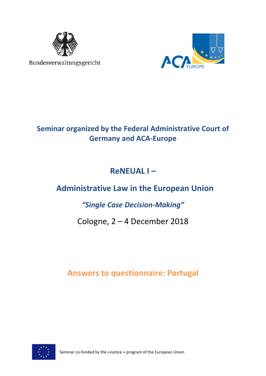

Bundesverwaltungsgericht



## **Seminar organized by the Federal Administrative Court of Germany and ACA-Europe**

## **ReNEUAL I –**

## **Administrative Law in the European Union**

## *"Single Case Decision-Making"*

## Cologne, 2 – 4 December 2018

## **Answers to questionnaire: Portugal**



Seminar co-funded by the «Justice » program of the European Union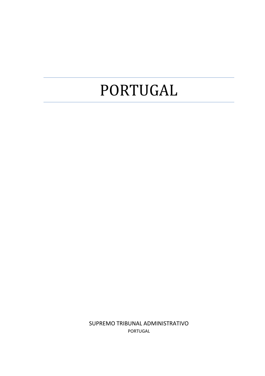# PORTUGAL

SUPREMO TRIBUNAL ADMINISTRATIVO PORTUGAL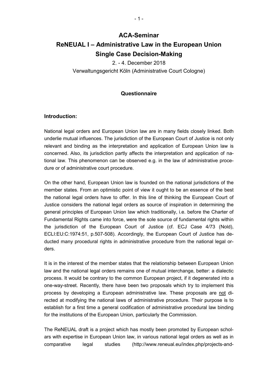### **ACA-Seminar ReNEUAL I – Administrative Law in the European Union Single Case Decision-Making**

2. - 4. December 2018 Verwaltungsgericht Köln (Administrative Court Cologne)

#### **Questionnaire**

#### **Introduction:**

National legal orders and European Union law are in many fields closely linked. Both underlie mutual influences. The jurisdiction of the European Court of Justice is not only relevant and binding as the interpretation and application of European Union law is concerned. Also, its jurisdiction partly affects the interpretation and application of national law. This phenomenon can be observed e.g. in the law of administrative procedure or of administrative court procedure.

On the other hand, European Union law is founded on the national jurisdictions of the member states. From an optimistic point of view it ought to be an essence of the best the national legal orders have to offer. In this line of thinking the European Court of Justice considers the national legal orders as source of inspiration in determining the general principles of European Union law which traditionally, i.e. before the Charter of Fundamental Rights came into force, were the sole source of fundamental rights within the jurisdiction of the European Court of Justice (cf. ECJ Case 4/73 (Nold), ECLI:EU:C:1974:51, p.507-508). Accordingly, the European Court of Justice has deducted many procedural rights in administrative procedure from the national legal orders.

It is in the interest of the member states that the relationship between European Union law and the national legal orders remains one of mutual interchange, better: a dialectic process. It would be contrary to the common European project, if it degenerated into a one-way-street. Recently, there have been two proposals which try to implement this process by developing a European administrative law. These proposals are not directed at modifying the national laws of administrative procedure. Their purpose is to establish for a first time a general codification of administrative procedural law binding for the institutions of the European Union, particularly the Commission.

The ReNEUAL draft is a project which has mostly been promoted by European scholars with expertise in European Union law, in various national legal orders as well as in comparative legal studies (http://www.reneual.eu/index.php/projects-and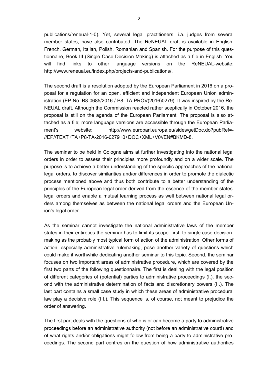publications/reneual-1-0). Yet, several legal practitioners, i.a. judges from several member states, have also contributed. The ReNEUAL draft is available in English, French, German, Italian, Polish, Romanian and Spanish. For the purpose of this questionnaire, Book III (Single Case Decision-Making) is attached as a file in English. You will find links to other language versions on the ReNEUAL-website: http://www.reneual.eu/index.php/projects-and-publications/.

The second draft is a resolution adopted by the European Parliament in 2016 on a proposal for a regulation for an open, efficient and independent European Union administration (EP-No. B8-0685/2016 / P8\_TA-PROV(2016)0279). It was inspired by the Re-NEUAL draft. Although the Commission reacted rather sceptically in October 2016, the proposal is still on the agenda of the European Parliament. The proposal is also attached as a file; more language versions are accessible through the European Parliament's website: http://www.europarl.europa.eu/sides/getDoc.do?pubRef=-//EP//TEXT+TA+P8-TA-2016-0279+0+DOC+XML+V0//EN#BKMD-8.

The seminar to be held in Cologne aims at further investigating into the national legal orders in order to assess their principles more profoundly and on a wider scale. The purpose is to achieve a better understanding of the specific approaches of the national legal orders, to discover similarities and/or differences in order to promote the dialectic process mentioned above and thus both contribute to a better understanding of the principles of the European legal order derived from the essence of the member states' legal orders and enable a mutual learning process as well between national legal orders among themselves as between the national legal orders and the European Union's legal order.

As the seminar cannot investigate the national administrative laws of the member states in their entireties the seminar has to limit its scope: first, to single case decisionmaking as the probably most typical form of action of the administration. Other forms of action, especially administrative rulemaking, pose another variety of questions which could make it worthwhile dedicating another seminar to this topic. Second, the seminar focuses on two important areas of administrative procedure, which are covered by the first two parts of the following questionnaire. The first is dealing with the legal position of different categories of (potential) parties to administrative proceedings (I.), the second with the administrative determination of facts and discretionary powers (II.). The last part contains a small case study in which these areas of administrative procedural law play a decisive role (III.). This sequence is, of course, not meant to prejudice the order of answering.

The first part deals with the questions of who is or can become a party to administrative proceedings before an administrative authority (not before an administrative court!) and of what rights and/or obligations might follow from being a party to administrative proceedings. The second part centres on the question of how administrative authorities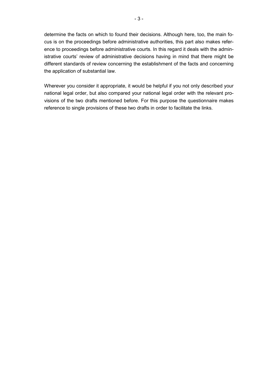determine the facts on which to found their decisions. Although here, too, the main focus is on the proceedings before administrative authorities, this part also makes reference to proceedings before administrative courts. In this regard it deals with the administrative courts' review of administrative decisions having in mind that there might be different standards of review concerning the establishment of the facts and concerning the application of substantial law.

Wherever you consider it appropriate, it would be helpful if you not only described your national legal order, but also compared your national legal order with the relevant provisions of the two drafts mentioned before. For this purpose the questionnaire makes reference to single provisions of these two drafts in order to facilitate the links.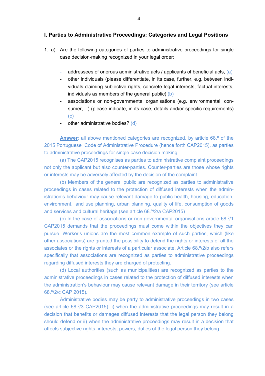#### **I. Parties to Administrative Proceedings: Categories and Legal Positions**

- 1. a) Are the following categories of parties to administrative proceedings for single case decision-making recognized in your legal order:
	- addressees of onerous administrative acts / applicants of beneficial acts,  $(a)$
	- other individuals (please differentiate, in its case, further, e.g. between individuals claiming subjective rights, concrete legal interests, factual interests, individuals as members of the general public) (b)
	- associations or non-governmental organisations (e.g. environmental, consumer,...) (please indicate, in its case, details and/or specific requirements)  $(c)$
	- other administrative bodies? (d)

 **Answer**: all above mentioned categories are recognized, by article 68.º of the 2015 Portuguese Code of Administrative Procedure (hence forth CAP2015), as parties to administrative proceedings for single case decision making.

 (a) The CAP2015 recognises as parties to administrative complaint proceedings not only the applicant but also counter-parties. Counter-parties are those whose rights or interests may be adversely affected by the decision of the complaint.

 (b) Members of the general public are recognized as parties to administrative proceedings in cases related to the protection of diffused interests when the administration's behaviour may cause relevant damage to public health, housing, education, environment, land use planning, urban planning, quality of life, consumption of goods and services and cultural heritage (see article 68.º/2/a CAP2015)

 (c) In the case of associations or non-governmental organisations article 68.º/1 CAP2015 demands that the proceedings must come within the objectives they can pursue. Worker's unions are the most common example of such parties, which (like other associations) are granted the possibility to defend the rights or interests of all the associates or the rights or interests of a particular associate. Article 68.º/2/b also refers specifically that associations are recognized as parties to administrative proceedings regarding diffused interests they are charged of protecting.

 (d) Local authorities (such as municipalities) are recognized as parties to the administrative proceedings in cases related to the protection of diffused interests when the administration's behaviour may cause relevant damage in their territory (see article 68.º/2/c CAP 2015).

 Administrative bodies may be party to administrative proceedings in two cases (see article 68.º/3 CAP2015): i) when the administrative proceedings may result in a decision that benefits or damages diffused interests that the legal person they belong should defend or ii) when the administrative proceedings may result in a decision that affects subjective rights, interests, powers, duties of the legal person they belong.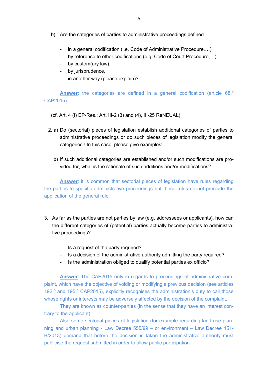- b) Are the categories of parties to administrative proceedings defined
	- in a general codification (i.e. Code of Administrative Procedure,...)
	- by reference to other codifications (e.g. Code of Court Procedure,...),
	- by custom(ary law),
	- by jurisprudence,
	- in another way (please explain)?

**Answer**: the categories are defined in a general codification (article 68.º CAP2015).

(cf. Art. 4 (f) EP-Res.; Art. III-2 (3) and (4), III-25 ReNEUAL)

- 2. a) Do (sectorial) pieces of legislation establish additional categories of parties to administrative proceedings or do such pieces of legislation modify the general categories? In this case, please give examples!
	- b) If such additional categories are established and/or such modifications are provided for, what is the rationale of such additions and/or modifications?

**Answer**: it is common that sectorial pieces of legislation have rules regarding the parties to specific administrative proceedings but these rules do not preclude the application of the general rule.

- 3. As far as the parties are not parties by law (e.g. addressees or applicants), how can the different categories of (potential) parties actually become parties to administrative proceedings?
	- Is a request of the party required?
	- Is a decision of the administrative authority admitting the party required?
	- Is the administration obliged to qualify potential parties ex officio?

**Answer**: The CAP2015 only in regards to proceedings of administrative complaint, which have the objective of voiding or modifying a previous decision (see articles 192.º and 195.º CAP2015), explicitly recognises the administration's duty to call those whose rights or interests may be adversely affected by the decision of the complaint.

They are known as counter-parties (in the sense that they have an interest contrary to the applicant).

Also some sectorial pieces of legislation (for example regarding land use planning and urban planning - Law Decree 555/99 – or environment – Law Decree 151- B/2013) demand that before the decision is taken the administrative authority must publicise the request submitted in order to allow public participation.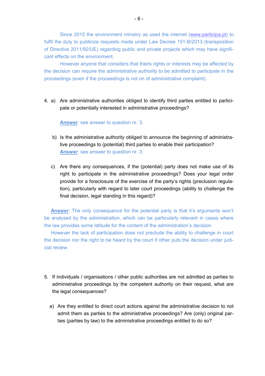Since 2015 the environment ministry as used the internet (www.participa.pt) to fulfil the duty to publicize requests made under Law Decree 151-B/2013 (transposition of Directive 2011/92/UE) regarding public and private projects which may have significant effects on the environment.

However anyone that considers that theirs rights or interests may be affected by the decision can require the administrative authority to be admitted to participate in the proceedings (even if the proceedings is not on of administrative complaint).

4. a) Are administrative authorities obliged to identify third parties entitled to participate or potentially interested in administrative proceedings?

**Answer**: see answer to question nr. 3.

- b) Is the administrative authority obliged to announce the beginning of administrative proceedings to (potential) third parties to enable their participation? **Answer**: see answer to question nr. 3.
- c) Are there any consequences, if the (potential) party does not make use of its right to participate in the administrative proceedings? Does your legal order provide for a foreclosure of the exercise of the party's rights (preclusion regulation), particularly with regard to later court proceedings (ability to challenge the final decision, legal standing in this regard)?

**Answer**: The only consequence for the potential party is that it's arguments won't be analysed by the administration, which can be particularly relevant in cases where the law provides some latitude for the content of the administration's decision.

However the lack of participation does not preclude the ability to challenge in court the decision nor the right to be heard by the court if other puts the decision under judicial review.

- 5. If individuals / organisations / other public authorities are not admitted as parties to administrative proceedings by the competent authority on their request, what are the legal consequences?
	- a) Are they entitled to direct court actions against the administrative decision to not admit them as parties to the administrative proceedings? Are (only) original parties (parties by law) to the administrative proceedings entitled to do so?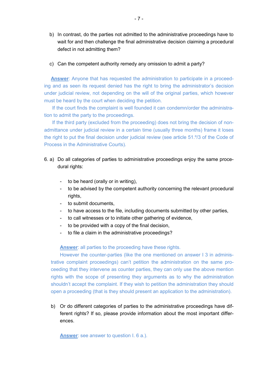- b) In contrast, do the parties not admitted to the administrative proceedings have to wait for and then challenge the final administrative decision claiming a procedural defect in not admitting them?
- c) Can the competent authority remedy any omission to admit a party?

**Answer**: Anyone that has requested the administration to participate in a proceeding and as seen its request denied has the right to bring the administrator's decision under judicial review, not depending on the will of the original parties, which however must be heard by the court when deciding the petition.

 If the court finds the complaint is well founded it can condemn/order the administration to admit the party to the proceedings.

 If the third party (excluded from the proceeding) does not bring the decision of nonadmittance under judicial review in a certain time (usually three months) frame it loses the right to put the final decision under judicial review (see article 51.º/3 of the Code of Process in the Administrative Courts).

- 6. a) Do all categories of parties to administrative proceedings enjoy the same procedural rights:
	- to be heard (orally or in writing),
	- to be advised by the competent authority concerning the relevant procedural rights,
	- to submit documents,
	- to have access to the file, including documents submitted by other parties,
	- to call witnesses or to initiate other gathering of evidence,
	- to be provided with a copy of the final decision,
	- to file a claim in the administrative proceedings?

**Answer**: all parties to the proceeding have these rights.

However the counter-parties (like the one mentioned on answer I 3 in administrative complaint proceedings) can't petition the administration on the same proceeding that they intervene as counter parties, they can only use the above mention rights with the scope of presenting they arguments as to why the administration shouldn't accept the complaint. If they wish to petition the administration they should open a proceeding (that is they should present an application to the administration).

b) Or do different categories of parties to the administrative proceedings have different rights? If so, please provide information about the most important differences.

**Answer**: see answer to question I. 6 a.).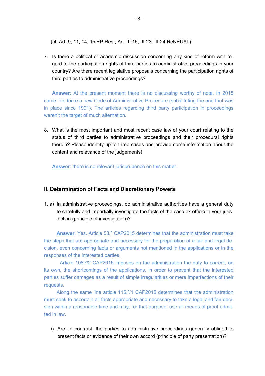(cf. Art. 9, 11, 14, 15 EP-Res.; Art. III-15, III-23, III-24 ReNEUAL)

7. Is there a political or academic discussion concerning any kind of reform with regard to the participation rights of third parties to administrative proceedings in your country? Are there recent legislative proposals concerning the participation rights of third parties to administrative proceedings?

**Answer**: At the present moment there is no discussing worthy of note. In 2015 came into force a new Code of Administrative Procedure (substituting the one that was in place since 1991). The articles regarding third party participation in proceedings weren't the target of much alternation.

8. What is the most important and most recent case law of your court relating to the status of third parties to administrative proceedings and their procedural rights therein? Please identify up to three cases and provide some information about the content and relevance of the judgements!

**Answer**: there is no relevant jurisprudence on this matter.

#### **II. Determination of Facts and Discretionary Powers**

1. a) In administrative proceedings, do administrative authorities have a general duty to carefully and impartially investigate the facts of the case ex officio in your jurisdiction (principle of investigation)?

**Answer**: Yes. Article 58.º CAP2015 determines that the administration must take the steps that are appropriate and necessary for the preparation of a fair and legal decision, even concerning facts or arguments not mentioned in the applications or in the responses of the interested parties.

 Article 108.º/2 CAP2015 imposes on the administration the duty to correct, on its own, the shortcomings of the applications, in order to prevent that the interested parties suffer damages as a result of simple irregularities or mere imperfections of their requests.

Along the same line article 115.º/1 CAP2015 determines that the administration must seek to ascertain all facts appropriate and necessary to take a legal and fair decision within a reasonable time and may, for that purpose, use all means of proof admitted in law.

b) Are, in contrast, the parties to administrative proceedings generally obliged to present facts or evidence of their own accord (principle of party presentation)?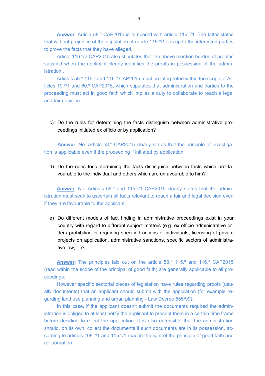**Answer**: Article 58.º CAP2015 is tempered with article 116.º/1. The latter states that without prejudice of the stipulation of article 115.º/1 it is up to the interested parties to prove the facts that they have alleged.

Article 116.º/2 CAP2015 also stipulates that the above mention burden of proof is satisfied when the applicant clearly identifies the proofs in possession of the administration .

Articles 58.º 115.º and 116.º CAP2015 must be interpreted within the scope of Articles 10.º/1 and 60.º CAP2015, which stipulates that administration and parties to the proceeding must act in good faith which implies a duty to collaborate to reach a legal and fair decision.

c) Do the rules for determining the facts distinguish between administrative proceedings initiated ex officio or by application?

**Answer**: No. Article 58.º CAP2015 clearly states that the principle of investigation is applicable even if the proceeding if initiated by application.

d) Do the rules for determining the facts distinguish between facts which are favourable to the individual and others which are unfavourable to him?

**Answer**: No. Articles 58.º and 115.º/1 CAP2015 clearly states that the administration must seek to ascertain all facts relevant to reach a fair and legal decision even if they are favourable to the applicant.

e) Do different models of fact finding in administrative proceedings exist in your country with regard to different subject matters (e.g. ex officio administrative orders prohibiting or requiring specified actions of individuals, licensing of private projects on application, administrative sanctions, specific sectors of administrative law, $\dots$ )?

**Answer**: The principles laid out on the article 58.º 115.º and 116.º CAP2015 (read within the scope of the principal of good faith) are generally applicable to all proceedings.

However specific sectorial pieces of legislation have rules regarding proofs (usually documents) that an applicant should submit with the application (for example regarding land use planning and urban planning - Law Decree 555/99).

In this case, if the applicant doesn't submit the documents required the administration is obliged to at least notify the applicant to present them in a certain time frame before deciding to reject the application. It is also defensible that the administration should, on its own, collect the documents if such documents are in its possession, according to articles 108.º/1 and 115.º/1 read in the light of the principle of good faith and collaboration.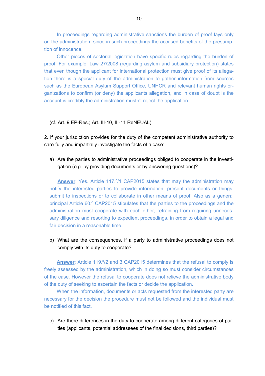In proceedings regarding administrative sanctions the burden of proof lays only on the administration, since in such proceedings the accused benefits of the presumption of innocence.

Other pieces of sectorial legislation have specific rules regarding the burden of proof. For example: Law 27/2008 (regarding asylum and subsidiary protection) states that even though the applicant for international protection must give proof of its allegation there is a special duty of the administration to gather information from sources such as the European Asylum Support Office, UNHCR and relevant human rights organizations to confirm (or deny) the applicants allegation, and in case of doubt is the account is credibly the administration mustn't reject the application.

#### (cf. Art. 9 EP-Res.; Art. III-10, III-11 ReNEUAL)

2. If your jurisdiction provides for the duty of the competent administrative authority to care-fully and impartially investigate the facts of a case:

a) Are the parties to administrative proceedings obliged to cooperate in the investigation (e.g. by providing documents or by answering questions)?

**Answer**: Yes. Article 117.º/1 CAP2015 states that may the administration may notify the interested parties to provide information, present documents or things, submit to inspections or to collaborate in other means of proof. Also as a general principal Article 60.º CAP2015 stipulates that the parties to the proceedings and the administration must cooperate with each other, refraining from requiring unnecessary diligence and resorting to expedient proceedings, in order to obtain a legal and fair decision in a reasonable time.

b) What are the consequences, if a party to administrative proceedings does not comply with its duty to cooperate?

**Answer**: Article 119.º/2 and 3 CAP2015 determines that the refusal to comply is freely assessed by the administration, which in doing so must consider circumstances of the case. However the refusal to cooperate does not relieve the administrative body of the duty of seeking to ascertain the facts or decide the application.

When the information, documents or acts requested from the interested party are necessary for the decision the procedure must not be followed and the individual must be notified of this fact.

c) Are there differences in the duty to cooperate among different categories of parties (applicants, potential addressees of the final decisions, third parties)?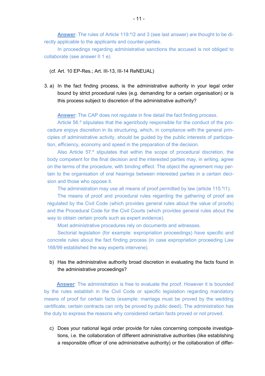**Answer**: The rules of Article 119.º/2 and 3 (see last answer) are thought to be directly applicable to the applicants and counter-parties.

In proceedings regarding administrative sanctions the accused is not obliged to collaborate (see answer II 1 e).

- (cf. Art. 10 EP-Res.; Art. III-13, III-14 ReNEUAL)
- 3. a) In the fact finding process, is the administrative authority in your legal order bound by strict procedural rules (e.g. demanding for a certain organisation) or is this process subject to discretion of the administrative authority?

**Answer**: The CAP does not regulate in fine detail the fact finding process.

Article 56.º stipulates that the agent/body responsible for the conduct of the procedure enjoys discretion in its structuring, which, in compliance with the general principles of administrative activity, should be guided by the public interests of participation, efficiency, economy and speed in the preparation of the decision.

Also Article 57.º stipulates that within the scope of procedural discretion, the body competent for the final decision and the interested parties may, in writing, agree on the terms of the procedure, with binding effect. The object the agreement may pertain to the organisation of oral hearings between interested parties in a certain decision and those who oppose it.

The administration may use all means of proof permitted by law (article 115.º/1).

The means of proof and procedural rules regarding the gathering of proof are regulated by the Civil Code (which provides general rules about the value of proofs) and the Procedural Code for the Civil Courts (which provides general rules about the way to obtain certain proofs such as expert evidence).

Most administrative procedures rely on documents and witnesses.

Sectorial legislation (for example: expropriation proceedings) have specific and concrete rules about the fact finding process (in case expropriation proceeding Law 168/99 established the way experts intervene).

#### b) Has the administrative authority broad discretion in evaluating the facts found in the administrative proceedings?

**Answer**: The administration is free to evaluate the proof. However it is bounded by the rules establish in the Civil Code or specific legislation regarding mandatory means of proof for certain facts (example: marriage must be proved by the wedding certificate; certain contracts can only be proved by public deed). The administration has the duty to express the reasons why considered certain facts proved or not proved.

c) Does your national legal order provide for rules concerning composite investigations, i.e. the collaboration of different administrative authorities (like establishing a responsible officer of one administrative authority) or the collaboration of differ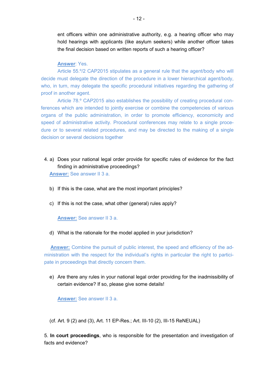ent officers within one administrative authority, e.g. a hearing officer who may hold hearings with applicants (like asylum seekers) while another officer takes the final decision based on written reports of such a hearing officer?

#### **Answer**: Yes.

Article 55.º/2 CAP2015 stipulates as a general rule that the agent/body who will decide must delegate the direction of the procedure in a lower hierarchical agent/body, who, in turn, may delegate the specific procedural initiatives regarding the gathering of proof in another agent.

Article 78.º CAP2015 also establishes the possibility of creating procedural conferences which are intended to jointly exercise or combine the competencies of various organs of the public administration, in order to promote efficiency, economicity and speed of administrative activity. Procedural conferences may relate to a single procedure or to several related procedures, and may be directed to the making of a single decision or several decisions together

4. a) Does your national legal order provide for specific rules of evidence for the fact finding in administrative proceedings?

**Answer:** See answer II 3 a.

- b) If this is the case, what are the most important principles?
- c) If this is not the case, what other (general) rules apply?

**Answer:** See answer II 3 a.

d) What is the rationale for the model applied in your jurisdiction?

**Answer:** Combine the pursuit of public interest, the speed and efficiency of the administration with the respect for the individual's rights in particular the right to participate in proceedings that directly concern them.

e) Are there any rules in your national legal order providing for the inadmissibility of certain evidence? If so, please give some details!

**Answer:** See answer II 3 a.

(cf. Art. 9 (2) and (3), Art. 11 EP-Res.; Art. III-10 (2), III-15 ReNEUAL)

5. **In court proceedings**, who is responsible for the presentation and investigation of facts and evidence?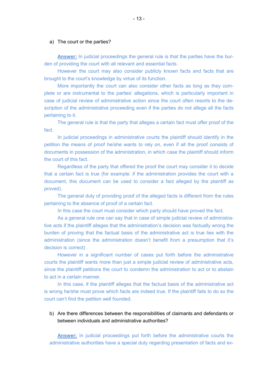#### a) The court or the parties?

**Answer:** In judicial proceedings the general rule is that the parties have the burden of providing the court with all relevant and essential facts.

However the court may also consider publicly known facts and facts that are brought to the court's knowledge by virtue of its function.

More importantly the court can also consider other facts as long as they complete or are instrumental to the parties' allegations, which is particularly important in case of judicial review of administrative action since the court often resorts to the description of the administrative proceeding even if the parties do not allege all the facts pertaining to it.

The general rule is that the party that alleges a certain fact must offer proof of the fact.

In judicial proceedings in administrative courts the plaintiff should identify in the petition the means of proof he/she wants to rely on, even if all the proof consists of documents in possession of the administration, in which case the plaintiff should inform the court of this fact.

Regardless of the party that offered the proof the court may consider it to decide that a certain fact is true (for example: if the administration provides the court with a document, this document can be used to consider a fact alleged by the plaintiff as proved).

The general duty of providing proof of the alleged facts is different from the rules pertaining to the absence of proof of a certain fact.

In this case the court must consider which party should have proved the fact.

As a general rule one can say that in case of simple judicial review of administrative acts if the plaintiff alleges that the administration's decision was factually wrong the burden of proving that the factual basis of the administrative act is true lies with the administration (since the administration doesn't benefit from a presumption that it's decision is correct) .

However in a significant number of cases put forth before the administrative courts the plaintiff wants more than just a simple judicial review of administrative acts, since the plaintiff petitions the court to condemn the administration to act or to abstain to act in a certain manner.

In this case, if the plaintiff alleges that the factual basis of the administrative act is wrong he/she must prove which facts are indeed true. If the plaintiff fails to do so the court can't find the petition well founded.

#### b) Are there differences between the responsibilities of claimants and defendants or between individuals and administrative authorities?

**Answer:** In judicial proceedings put forth before the administrative courts the administrative authorities have a special duty regarding presentation of facts and ev-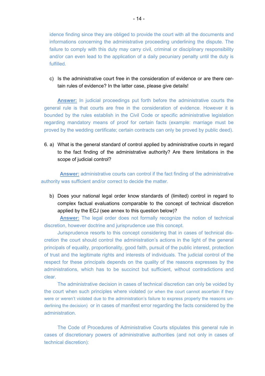idence finding since they are obliged to provide the court with all the documents and informations concerning the administrative proceeding underlining the dispute. The failure to comply with this duty may carry civil, criminal or disciplinary responsibility and/or can even lead to the application of a daily pecuniary penalty until the duty is fulfilled.

c) Is the administrative court free in the consideration of evidence or are there certain rules of evidence? In the latter case, please give details!

**Answer:** In judicial proceedings put forth before the administrative courts the general rule is that courts are free in the consideration of evidence. However it is bounded by the rules establish in the Civil Code or specific administrative legislation regarding mandatory means of proof for certain facts (example: marriage must be proved by the wedding certificate; certain contracts can only be proved by public deed).

6. a) What is the general standard of control applied by administrative courts in regard to the fact finding of the administrative authority? Are there limitations in the scope of judicial control?

**Answer:** administrative courts can control if the fact finding of the administrative authority was sufficient and/or correct to decide the matter.

b) Does your national legal order know standards of (limited) control in regard to complex factual evaluations comparable to the concept of technical discretion applied by the ECJ (see annex to this question below)?

**Answer:** The legal order does not formally recognize the notion of technical discretion, however doctrine and jurisprudence use this concept.

Jurisprudence resorts to this concept considering that in cases of technical discretion the court should control the administration's actions in the light of the general principals of equality, proportionality, good faith, pursuit of the public interest, protection of trust and the legitimate rights and interests of individuals. The judicial control of the respect for these principals depends on the quality of the reasons expresses by the administrations, which has to be succinct but sufficient, without contradictions and clear.

The administrative decision in cases of technical discretion can only be voided by the court when such principles where violated (or when the court cannot ascertain if they were or weren't violated due to the administration's failure to express properly the reasons underlining the decision) or in cases of manifest error regarding the facts considered by the administration.

The Code of Procedures of Administrative Courts stipulates this general rule in cases of discretionary powers of administrative authorities (and not only in cases of technical discretion):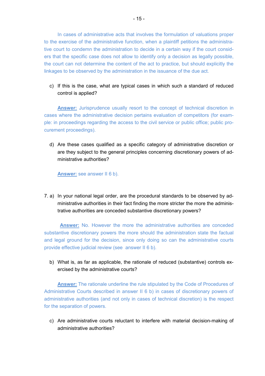In cases of administrative acts that involves the formulation of valuations proper to the exercise of the administrative function, when a plaintiff petitions the administrative court to condemn the administration to decide in a certain way if the court considers that the specific case does not allow to identify only a decision as legally possible, the court can not determine the content of the act to practice, but should explicitly the linkages to be observed by the administration in the issuance of the due act.

c) If this is the case, what are typical cases in which such a standard of reduced control is applied?

**Answer:** Jurisprudence usually resort to the concept of technical discretion in cases where the administrative decision pertains evaluation of competitors (for example: in proceedings regarding the access to the civil service or public office; public procurement proceedings).

d) Are these cases qualified as a specific category of administrative discretion or are they subject to the general principles concerning discretionary powers of administrative authorities?

**Answer:** see answer II 6 b).

7. a) In your national legal order, are the procedural standards to be observed by administrative authorities in their fact finding the more stricter the more the administrative authorities are conceded substantive discretionary powers?

 **Answer:** No. However the more the administrative authorities are conceded substantive discretionary powers the more should the administration state the factual and legal ground for the decision, since only doing so can the administrative courts provide effective judicial review (see answer II 6 b).

b) What is, as far as applicable, the rationale of reduced (substantive) controls exercised by the administrative courts?

**Answer:** The rationale underline the rule stipulated by the Code of Procedures of Administrative Courts described in answer II 6 b) in cases of discretionary powers of administrative authorities (and not only in cases of technical discretion) is the respect for the separation of powers.

c) Are administrative courts reluctant to interfere with material decision-making of administrative authorities?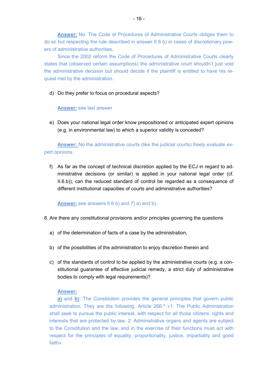**Answer:** No. The Code of Procedures of Administrative Courts obliges them to do so but respecting the rule described in answer II 6 b) in cases of discretionary powers of administrative authorities.

Since the 2002 reform the Code of Procedures of Administrative Courts clearly states that (observed certain assumptions) the administrative court shouldn't just void the administrative decision but should decide if the plaintiff is entitled to have his request met by the administration.

d) Do they prefer to focus on procedural aspects?

#### **Answer:** see last answer

e) Does your national legal order know prepositioned or anticipated expert opinions (e.g. in environmental law) to which a superior validity is conceded?

**Answer:** No the administrative courts (like the judicial courts) freely evaluate expert opinions.

f) As far as the concept of technical discretion applied by the ECJ in regard to administrative decisions (or similar) is applied in your national legal order (cf. II.6.b)), can the reduced standard of control be regarded as a consequence of different institutional capacities of courts and administrative authorities?

#### Answer: see answers II 6 b) and 7) a) and b).

- 8. Are there any constitutional provisions and/or principles governing the questions
	- a) of the determination of facts of a case by the administration,
	- b) of the possibilities of the administration to enjoy discretion therein and
	- c) of the standards of control to be applied by the administrative courts (e.g. a constitutional guarantee of effective judicial remedy, a strict duty of administrative bodies to comply with legal requirements)?

#### **Answer:**

**a)** and **b)**: The Constitution provides the general principles that govern public administration. They are the following: Article 266.º «1. The Public Administration shall seek to pursue the public interest, with respect for all those citizens' rights and interests that are protected by law. 2. Administrative organs and agents are subject to the Constitution and the law, and in the exercise of their functions must act with respect for the principles of equality, proportionality, justice, impartiality and good faith».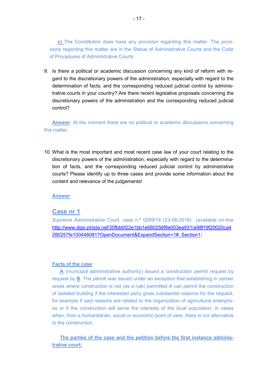**c)** The Constitution does have any provision regarding this matter. The provisions regarding this matter are in the Statue of Administrative Courts and the Code of Procedures of Administrative Courts

9. Is there a political or academic discussion concerning any kind of reform with regard to the discretionary powers of the administration, especially with regard to the determination of facts, and the corresponding reduced judicial control by administrative courts in your country? Are there recent legislative proposals concerning the discretionary powers of the administration and the corresponding reduced judicial control?

**Answer**: At the moment there are no political or academic discussions concerning this matter.

10. What is the most important and most recent case law of your court relating to the discretionary powers of the administration, especially with regard to the determination of facts, and the corresponding reduced judicial control by administrative courts? Please identify up to three cases and provide some information about the content and relevance of the judgements!

**Answer**:

#### **Case nr 1**

Supreme Administrative Court, case n.º 0299/14 (23-06-2016) (available on-line http://www.dgsi.pt/jsta.nsf/35fbbbf22e1bb1e680256f8e003ea931/a98f19f20020ca4 280257fe100448081?OpenDocument&ExpandSection=1#\_Section1)

#### **Facts of the case**:

 **A** (municipal administrative authority) issued a construction permit request by request by **B**. The permit was issued under an exception that establishing in certain areas where construction is not (as a rule) permitted A can permit the construction of isolated building if the interested party gives substantial reasons for the request, for example if said reasons are related to the organization of agricultural enterprises or if the construction will serve the interests of the local population, in cases when, from a humanitarian, social or economic point of view, there is not alternative to the construction.

 **The parties of the case and the petition before the first instance administrative court:**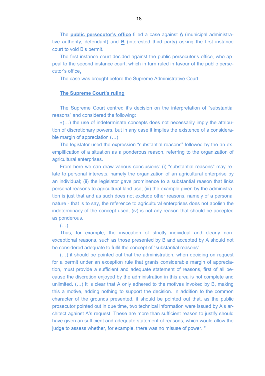The **public persecutor's office** filled a case against **A** (municipal administrative authority; defendant) and **B** (interested third party) asking the first instance court to void B's permit.

 The first instance court decided against the public persecutor's office, who appeal to the second instance court, which in turn ruled in favour of the public persecutor's office**.** 

The case was brought before the Supreme Administrative Court.

#### **The Supreme Court's ruling**

The Supreme Court centred it's decision on the interpretation of "substantial reasons" and considered the following:

«(...) the use of indeterminate concepts does not necessarily imply the attribution of discretionary powers, but in any case it implies the existence of a considerable margin of appreciation  $(...)$ 

The legislator used the expression "substantial reasons" followed by the an exemplification of a situation as a ponderous reason, referring to the organization of agricultural enterprises.

 From here we can draw various conclusions: (i) "substantial reasons" may relate to personal interests, namely the organization of an agricultural enterprise by an individual; (ii) the legislator gave prominence to a substantial reason that links personal reasons to agricultural land use; (iii) the example given by the administration is just that and as such does not exclude other reasons, namely of a personal nature - that is to say, the reference to agricultural enterprises does not abolish the indeterminacy of the concept used; (iv) is not any reason that should be accepted as ponderous.

#### $\left(\ldots\right)$

Thus, for example, the invocation of strictly individual and clearly nonexceptional reasons, such as those presented by B and accepted by A should not be considered adequate to fulfil the concept of "substantial reasons".

 $(M, \ldots)$  it should be pointed out that the administration, when deciding on request for a permit under an exception rule that grants considerable margin of appreciation, must provide a sufficient and adequate statement of reasons, first of all because the discretion enjoyed by the administration in this area is not complete and unlimited.  $(...)$  It is clear that A only adhered to the motives invoked by B, making this a motive, adding nothing to support the decision. In addition to the common character of the grounds presented, it should be pointed out that, as the public prosecutor pointed out in due time, two technical information were issued by A's architect against A's request. These are more than sufficient reason to justify should have given an sufficient and adequate statement of reasons, which would allow the judge to assess whether, for example, there was no misuse of power. "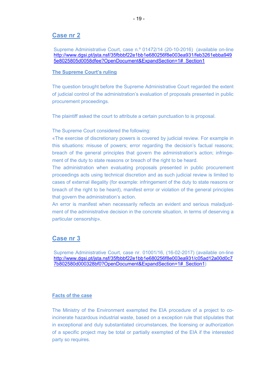#### **Case nr 2**

Supreme Administrative Court, case n.º 01472/14 (20-10-2016) (available on-line http://www.dgsi.pt/jsta.nsf/35fbbbf22e1bb1e680256f8e003ea931/feb3261ebba949 5e8025805d0058dfee?OpenDocument&ExpandSection=1#\_Section1

#### **The Supreme Court's ruling**

The question brought before the Supreme Administrative Court regarded the extent of judicial control of the administration's evaluation of proposals presented in public procurement proceedings.

The plaintiff asked the court to attribute a certain punctuation to is proposal.

The Supreme Court considered the following:

«The exercise of discretionary powers is covered by judicial review. For example in this situations: misuse of powers; error regarding the decision's factual reasons; breach of the general principles that govern the administration's action; infringement of the duty to state reasons or breach of the right to be heard.

The administration when evaluating proposals presented in public procurement proceedings acts using technical discretion and as such judicial review is limited to cases of external illegality (for example: infringement of the duty to state reasons or breach of the right to be heard), manifest error or violation of the general principles that govern the administration's action.

An error is manifest when necessarily reflects an evident and serious maladjustment of the administrative decision in the concrete situation, in terms of deserving a particular censorship».

#### **Case nr 3**

Supreme Administrative Court, case nr. 01001/16, (16-02-2017) (available on-line http://www.dgsi.pt/jsta.nsf/35fbbbf22e1bb1e680256f8e003ea931/c05ad12a00d0c7 7b802580d000328bf0?OpenDocument&ExpandSection=1#\_Section1)

#### **Facts of the case**

The Ministry of the Environment exempted the EIA procedure of a project to coincinerate hazardous industrial waste, based on a exception rule that stipulates that in exceptional and duly substantiated circumstances, the licensing or authorization of a specific project may be total or partially exempted of the EIA if the interested party so requires.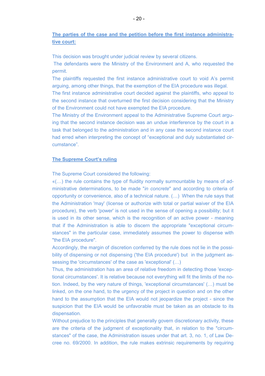**The parties of the case and the petition before the first instance administrative court:** 

This decision was brought under judicial review by several citizens.

 The defendants were the Ministry of the Environment and A, who requested the permit.

 The plaintiffs requested the first instance administrative court to void A's permit arguing, among other things, that the exemption of the EIA procedure was illegal.

 The first instance administrative court decided against the plaintiffs, who appeal to the second instance that overturned the first decision considering that the Ministry of the Environment could not have exempted the EIA procedure.

 The Ministry of the Environment appeal to the Administrative Supreme Court arguing that the second instance decision was an undue interference by the court in a task that belonged to the administration and in any case the second instance court had erred when interpreting the concept of "exceptional and duly substantiated circumstance".

#### **The Supreme Court's ruling**

The Supreme Court considered the following:

 $\mathcal{K}(\ldots)$  the rule contains the type of fluidity normally surmountable by means of administrative determinations, to be made "*in concrete*" and according to criteria of opportunity or convenience, also of a technical nature.  $(\ldots)$  When the rule says that the Administration 'may' (license or authorize with total or partial waiver of the EIA procedure), the verb 'power' is not used in the sense of opening a possibility; but it is used in its other sense, which is the recognition of an active power - meaning that if the Administration is able to discern the appropriate "exceptional circumstances" in the particular case, immediately assumes the power to dispense with "the EIA procedure".

Accordingly, the margin of discretion conferred by the rule does not lie in the possibility of dispensing or not dispensing ('the EIA procedure') but in the judgment assessing the 'circumstances' of the case as 'exceptional' (...)

Thus, the administration has an area of relative freedom in detecting those 'exceptional circumstances'. It is relative because not everything will fit the limits of the notion. Indeed, by the very nature of things, 'exceptional circumstances'  $(...)$  must be linked, on the one hand, to the urgency of the project in question and on the other hand to the assumption that the EIA would not jeopardize the project - since the suspicion that the EIA would be unfavorable must be taken as an obstacle to its dispensation.

Without prejudice to the principles that generally govern discretionary activity, these are the criteria of the judgment of exceptionality that, in relation to the "circumstances" of the case, the Administration issues under that art. 3, no. 1, of Law Decree no. 69/2000. In addition, the rule makes extrinsic requirements by requiring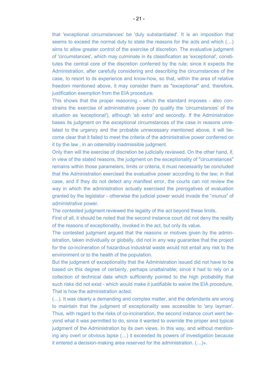that 'exceptional circumstances' be 'duly substantiated'. It is an imposition that seems to exceed the normal duty to state the reasons for the acts and which  $(...)$ aims to allow greater control of the exercise of discretion. The evaluative judgment of 'circumstances', which may culminate in its classification as 'exceptional', constitutes the central core of the discretion conferred by the rule; since it expects the Administration, after carefully considering and describing the circumstances of the case, to resort to its experience and know-how, so that, within the area of relative freedom mentioned above, it may consider them as "exceptional" and, therefore, justification exemption from the EIA procedure.

This shows that the proper reasoning - which the standard imposes - also constrains the exercise of administrative power (to qualify the 'circumstances' of the situation as 'exceptional'), although *'ab extra'* and secondly. If the Administration bases its judgment on the exceptional circumstances of the case in reasons unrelated to the urgency and the probable unnecessary mentioned above, it will become clear that it failed to meet the criteria of the administrative power conferred on it by the law , in an ostensibly inadmissible judgment.

Only then will the exercise of discretion be judicially reviewed. On the other hand, if, in view of the stated reasons, the judgment on the exceptionality of "circumstances" remains within those parameters, limits or criteria, it must necessarily be concluded that the Administration exercised the evaluative power according to the law; in that case, and if they do not detect any manifest error, the courts can not review the way in which the administration actually exercised the prerogatives of evaluation granted by the legislator - otherwise the judicial power would invade the "*munus*" of administrative power.

The contested judgment reviewed the legality of the act beyond these limits.

First of all, it should be noted that the second instance court did not deny the reality of the reasons of exceptionality, invoked in the act, but only its value.

The contested judgment argued that the reasons or motives given by the administration, taken individually or globally, did not in any way guarantee that the project for the co-incineration of hazardous industrial waste would not entail any risk to the environment or to the health of the population.

But the judgment of exceptionality that the Administration issued did not have to be based on this degree of certainty, perhaps unattainable; since it had to rely on a collection of technical data which sufficiently pointed to the high probability that such risks did not exist - which would make it justifiable to waive the EIA procedure. That is how the administration acted.

(...). It was clearly a demanding and complex matter, and the defendants are wrong to maintain that the judgment of exceptionality was accessible to 'any layman'. Thus, with regard to the risks of co-incineration, the second instance court went beyond what it was permitted to do, since it wanted to override the proper and typical judgment of the Administration by its own views. In this way, and without mentioning any overt or obvious lapse  $(...)$  it exceeded its powers of investigation because it entered a decision-making area reserved for the administration.  $(...)$ ».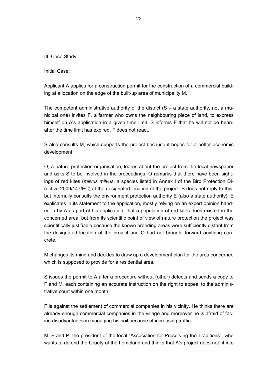III. Case Study

Initial Case:

Applicant A applies for a construction permit for the construction of a commercial building at a location on the edge of the built-up area of municipality M.

The competent administrative authority of the district  $(S - a)$  state authority, not a municipal one) invites F, a farmer who owns the neighbouring piece of land, to express himself on A's application in a given time limit. S informs F that he will not be heard after the time limit has expired. F does not react.

S also consults M, which supports the project because it hopes for a better economic development.

O, a nature protection organisation, learns about the project from the local newspaper and asks S to be involved in the proceedings. O remarks that there have been sightings of red kites (*milvus milvus*, a species listed in Annex I of the Bird Protection Directive 2009/147/EC) at the designated location of the project. S does not reply to this, but internally consults the environment protection authority E (also a state authority). E explicates in its statement to the application, mostly relying on an expert opinion handed in by A as part of his application, that a population of red kites does existed in the concerned area, but from its scientific point of view of nature protection the project was scientifically justifiable because the known breeding areas were sufficiently distant from the designated location of the project and O had not brought forward anything concrete.

M changes its mind and decides to draw up a development plan for the area concerned which is supposed to provide for a residential area.

S issues the permit to A after a procedure without (other) defects and sends a copy to F and M, each containing an accurate instruction on the right to appeal to the administrative court within one month.

F is against the settlement of commercial companies in his vicinity. He thinks there are already enough commercial companies in the village and moreover he is afraid of facing disadvantages in managing his soil because of increasing traffic.

M, F and P, the president of the local "Association for Preserving the Traditions", who wants to defend the beauty of the homeland and thinks that A's project does not fit into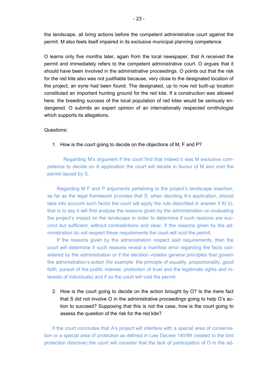the landscape, all bring actions before the competent administrative court against the permit. M also feels itself impaired in its exclusive municipal planning competence.

O learns only five months later, again from the local newspaper, that A received the permit and immediately refers to the competent administrative court. O argues that it should have been involved in the administrative proceedings. O points out that the risk for the red kite also was not justifiable because, very close to the designated location of the project, an eyrie had been found. The designated, up to now not built-up location constituted an important hunting ground for the red kite. If a construction was allowed here, the breeding success of the local population of red kites would be seriously endangered. O submits an expert opinion of an internationally respected ornithologist which supports its allegations.

#### Questions:

1. How is the court going to decide on the objections of M, F and P?

Regarding M's argument if the court find that indeed it was M exclusive competence to decide on A application the court will decide in favour of M and void the permit issued by S.

Regarding M F and P arguments pertaining to the project's landscape insertion, as far as the legal framework provides that S, when deciding A's application, should take into account such factor the court will apply the rule described in answer II 6) b), that is to say it will first analyse the reasons given by the administration on evaluating the project's impact on the landscape in order to determine if such reasons are succinct but sufficient, without contradictions and clear. If the reasons given by the administration do not respect these requirements the court will void the permit.

If the reasons given by the administration respect said requirements, then the court will determine if such reasons reveal a manifest error regarding the facts considered by the administration or if the decision violates general principles that govern the administration's action (for example: the principle of equality, proportionality, good faith, pursuit of the public interest, protection of trust and the legitimate rights and interests of individuals) and if so the court will void the permit.

2. How is the court going to decide on the action brought by O? Is the mere fact that S did not involve O in the administrative proceedings going to help O's action to succeed? Supposing that this is not the case, how is the court going to assess the question of the risk for the red kite?

If the court concludes that A's project will interfere with a special area of conservation or a special area of protection as defined in Law Decree 140/99 (related to the bird protection directive) the court will consider that the lack of participation of O in the ad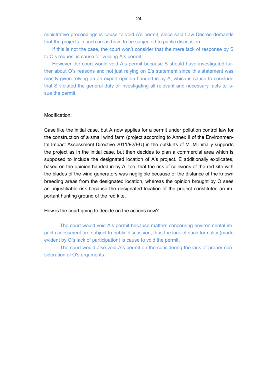ministrative proceedings is cause to void A's permit, since said Law Decree demands that the projects in such areas have to be subjected to public discussion.

If this is not the case, the court won't consider that the mere lack of response by S to O's request is cause for voiding A's permit.

However the court would void A's permit because S should have investigated further about O's reasons and not just relying on E's statement since this statement was mostly given relying on an expert opinion handed in by A, which is cause to conclude that S violated the general duty of investigating all relevant and necessary facts to issue the permit.

#### Modification:

Case like the initial case, but A now applies for a permit under pollution control law for the construction of a small wind farm (project according to Annex II of the Environmental Impact Assessment Directive 2011/92/EU) in the outskirts of M. M initially supports the project as in the initial case, but then decides to plan a commercial area which is supposed to include the designated location of A's project. E additionally explicates, based on the opinion handed in by A, too, that the risk of collisions of the red kite with the blades of the wind generators was negligible because of the distance of the known breeding areas from the designated location, whereas the opinion brought by O sees an unjustifiable risk because the designated location of the project constituted an important hunting ground of the red kite.

How is the court going to decide on the actions now?

The court would void A's permit because matters concerning environmental impact assessment are subject to public discussion, thus the lack of such formality (made evident by O's lack of participation) is cause to void the permit.

The court would also void A's permit on the considering the lack of proper consideration of O's arguments.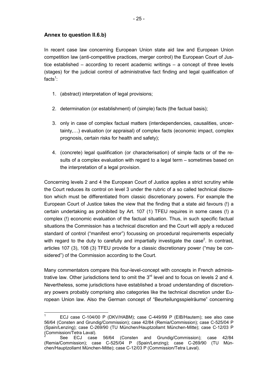#### **Annex to question II.6.b)**

l.

In recent case law concerning European Union state aid law and European Union competition law (anti-competitive practices, merger control) the European Court of Justice established – according to recent academic writings – a concept of three levels (stages) for the judicial control of administrative fact finding and legal qualification of facts<sup>1</sup>:

- 1. (abstract) interpretation of legal provisions;
- 2. determination (or establishment) of (simple) facts (the factual basis);
- 3. only in case of complex factual matters (interdependencies, causalities, uncertainty,...) evaluation (or appraisal) of complex facts (economic impact, complex prognosis, certain risks for health and safety);
- 4. (concrete) legal qualification (or characterisation) of simple facts or of the results of a complex evaluation with regard to a legal term – sometimes based on the interpretation of a legal provision.

Concerning levels 2 and 4 the European Court of Justice applies a strict scrutiny while the Court reduces its control on level 3 under the rubric of a so called technical discretion which must be differentiated from classic discretionary powers. For example the European Court of Justice takes the view that the finding that a state aid favours (!) a certain undertaking as prohibited by Art. 107 (1) TFEU requires in some cases (!) a complex (!) economic evaluation of the factual situation. Thus, in such specific factual situations the Commission has a technical discretion and the Court will apply a reduced standard of control ("manifest error") focussing on procedural requirements especially with regard to the duty to carefully and impartially investigate the case<sup>2</sup>. In contrast, articles 107 (3), 108 (3) TFEU provide for a classic discretionary power ("may be considered") of the Commission according to the Court.

Many commentators compare this four-level-concept with concepts in French administrative law. Other jurisdictions tend to omit the  $3<sup>rd</sup>$  level and to focus on levels 2 and 4. Nevertheless, some jurisdictions have established a broad understanding of discretionary powers probably comprising also categories like the technical discretion under European Union law. Also the German concept of "Beurteilungsspielräume" concerning

<sup>1</sup> ECJ case C-104/00 P (DKV/HABM); case C-449/99 P (EIB/Hautem); see also case 56/64 (Consten and Grundig/Commission); case 42/84 (Remia/Commission); case C-525/04 P (Spain/Lenzing); case C-269/90 (TU München/Hauptzollamt München-Mitte); case C-12/03 P Commission/Tetra Laval).

See ECJ case 56/64 (Consten and Grundig/Commission); case 42/84 (Remia/Commission); case C-525/04 P (Spain/Lenzing); case C-269/90 (TU München/Hauptzollamt München-Mitte); case C-12/03 P (Commission/Tetra Laval).